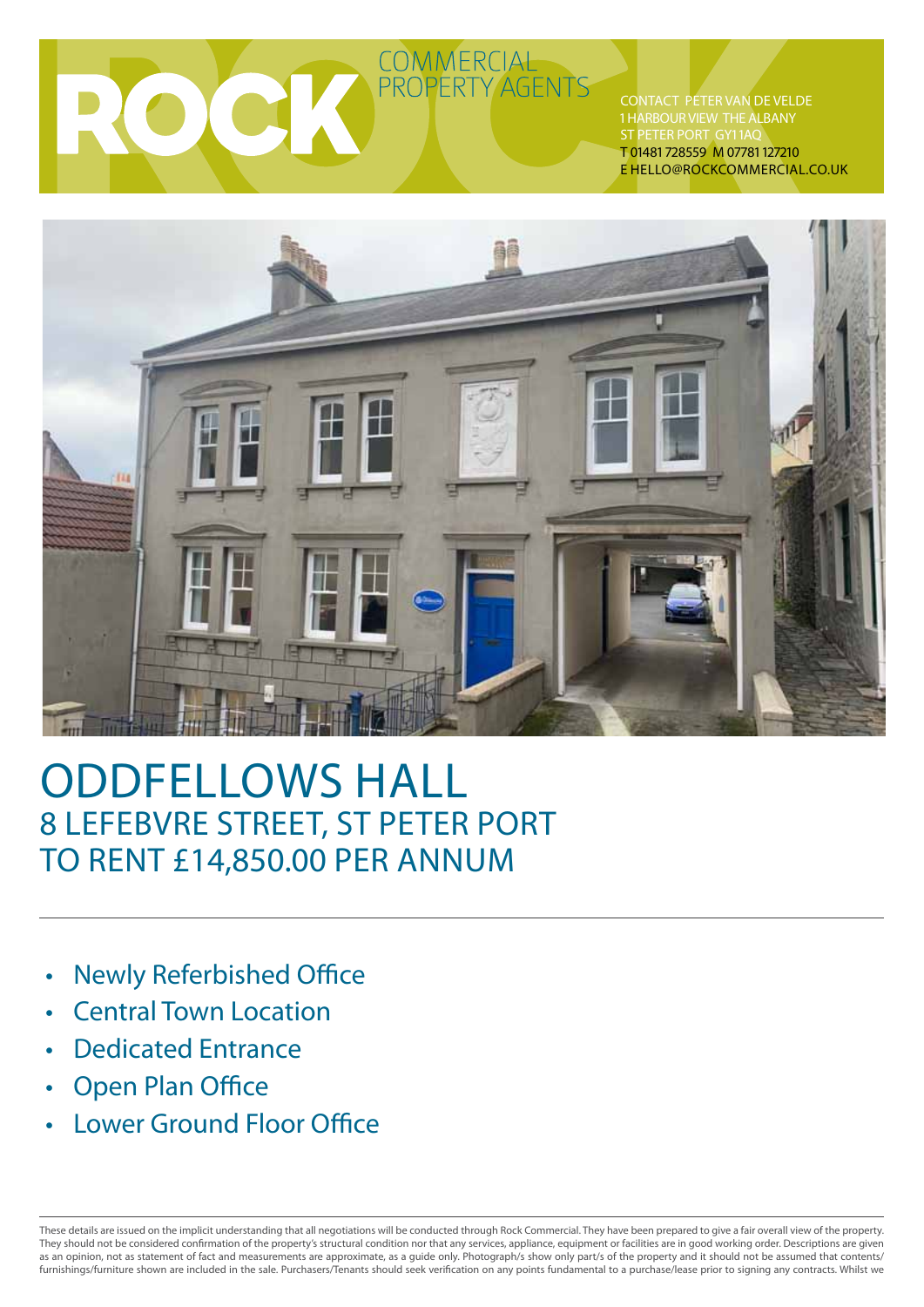

Contact Peter van de Velde 1 HARBOUR VIEW THE ALBANY ST PETER PORT GY11AC T 01481 728559 M 07781 127210 E HELLO@rockcommercial.co.uk



## ODDFELLOWS HALL 8 Lefebvre Street, St Peter port TO ReNT £14,850.00 Per Annum

- **Newly Referbished Office**
- **Central Town Location**
- **Dedicated Entrance**
- Open Plan Office
- Lower Ground Floor Office

These details are issued on the implicit understanding that all negotiations will be conducted through Rock Commercial. They have been prepared to give a fair overall view of the property. They should not be considered confirmation of the property's structural condition nor that any services, appliance, equipment or facilities are in good working order. Descriptions are given as an opinion, not as statement of fact and measurements are approximate, as a guide only. Photograph/s show only part/s of the property and it should not be assumed that contents/ furnishings/furniture shown are included in the sale. Purchasers/Tenants should seek verification on any points fundamental to a purchase/lease prior to signing any contracts. Whilst we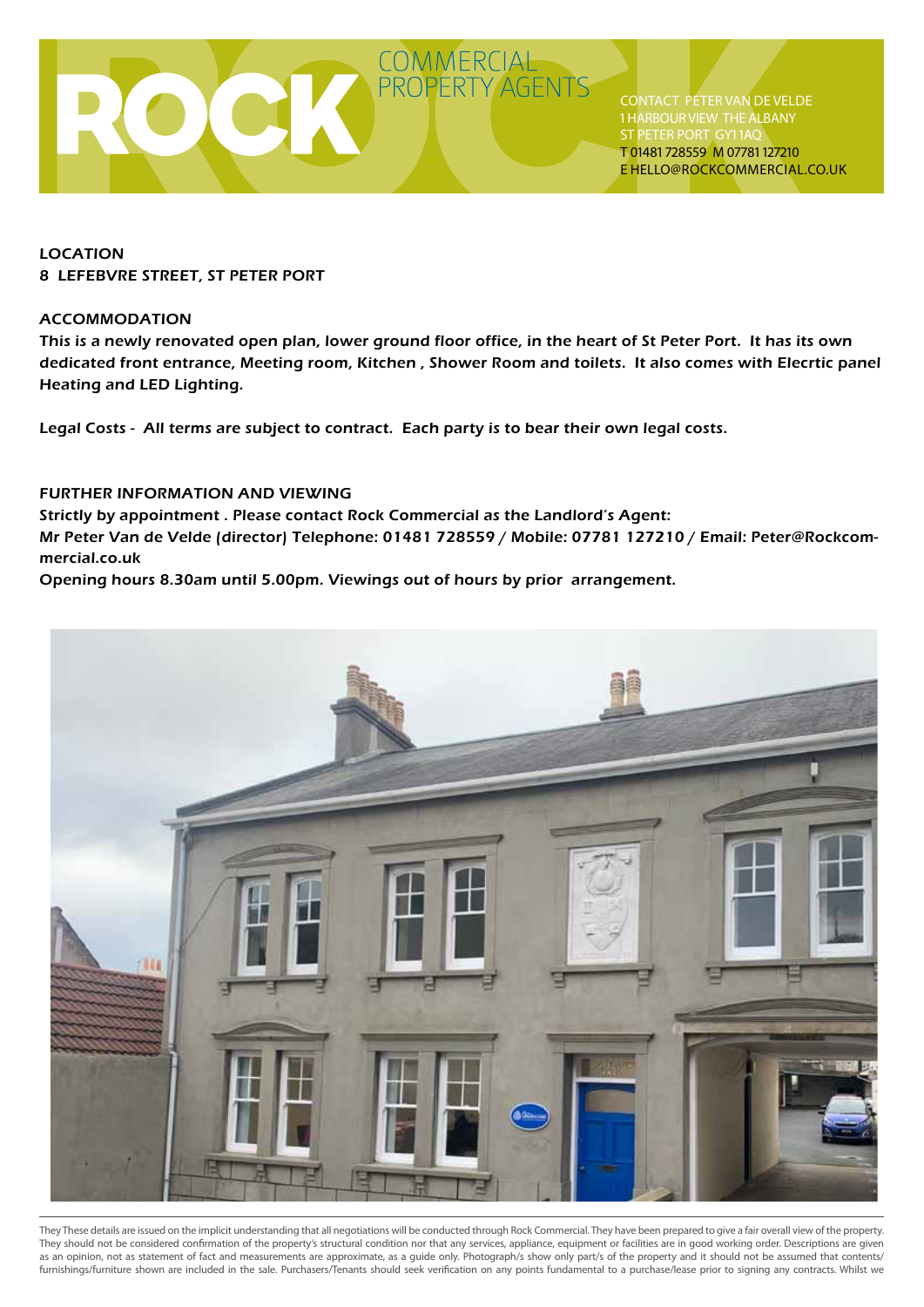

Contact Peter van de Velde 1 HARBOUR VIEW THE ALBANY ST PETER PORT GY11AC T 01481 728559 M 07781 127210 E HELLO@rockcommercial.co.uk

**LOCATION** 8 lefebvre Street, St peter port

## **ACCOMMODATION**

This is a newly renovated open plan, lower ground floor office, in the heart of St Peter Port. It has its own dedicated front entrance, Meeting room, Kitchen , Shower Room and toilets. It also comes with Elecrtic panel Heating and LED Lighting.

Legal Costs - All terms are subject to contract. Each party is to bear their own legal costs.

## FURTHER INFORMATION AND VIEWING

Strictly by appointment . Please contact Rock Commercial as the Landlord's Agent: Mr Peter Van de Velde (director) Telephone: 01481 728559 / Mobile: 07781 127210 / Email: Peter@Rockcommercial.co.uk

Opening hours 8.30am until 5.00pm. Viewings out of hours by prior arrangement.



They These details are issued on the implicit understanding that all negotiations will be conducted through Rock Commercial. They have been prepared to give a fair overall view of the property. They should not be considered confirmation of the property's structural condition nor that any services, appliance, equipment or facilities are in good working order. Descriptions are given as an opinion, not as statement of fact and measurements are approximate, as a guide only. Photograph/s show only part/s of the property and it should not be assumed that contents/ furnishings/furniture shown are included in the sale. Purchasers/Tenants should seek verification on any points fundamental to a purchase/lease prior to signing any contracts. Whilst we